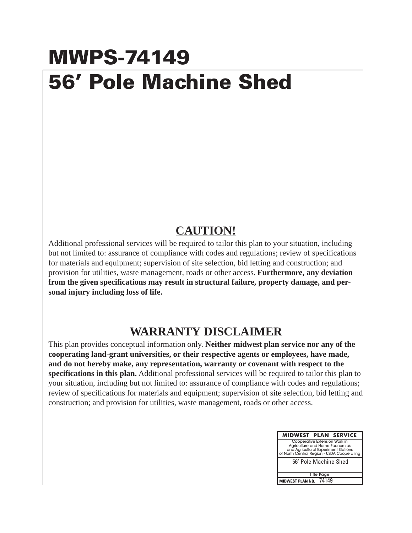## **MWPS-74149 56' Pole Machine Shed**

## **CAUTION!**

Additional professional services will be required to tailor this plan to your situation, including but not limited to: assurance of compliance with codes and regulations; review of specifications for materials and equipment; supervision of site selection, bid letting and construction; and provision for utilities, waste management, roads or other access. **Furthermore, any deviation from the given specifications may result in structural failure, property damage, and personal injury including loss of life.**

## **WARRANTY DISCLAIMER**

This plan provides conceptual information only. **Neither midwest plan service nor any of the cooperating land-grant universities, or their respective agents or employees, have made, and do not hereby make, any representation, warranty or covenant with respect to the specifications in this plan.** Additional professional services will be required to tailor this plan to your situation, including but not limited to: assurance of compliance with codes and regulations; review of specifications for materials and equipment; supervision of site selection, bid letting and construction; and provision for utilities, waste management, roads or other access.

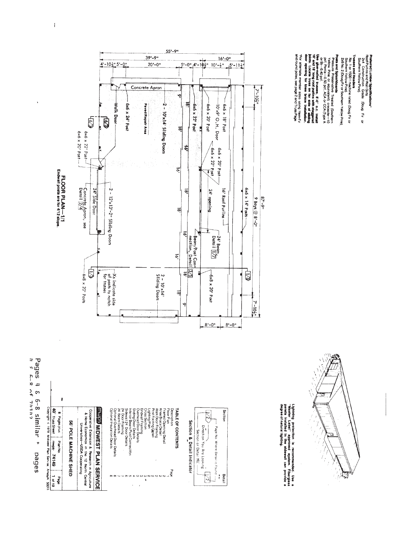

| Copyright c 1978 Midwest Plan Service. AmeslA 50011 | đ                  |
|-----------------------------------------------------|--------------------|
|                                                     |                    |
|                                                     | <b>Truss Sheet</b> |
|                                                     |                    |
|                                                     |                    |
|                                                     | <b>China</b> Some  |
|                                                     |                    |
|                                                     | 0110               |

| <b>AD</b> Trisc Sheet<br>snid sebed 8                                                                     |                              |                                                                                                                              | <b>INURS MIDWEST PLAN SERVICE</b> | Optional Insulation Details<br>Optional Overhead Door Details<br>24 <sup>'</sup> Beam Details<br>24 Door Framing<br>Cross Section<br>Sidewall 24 Door Details<br>Interior Beam/Post Connection<br>Silding Door Details<br>Endwall Framing<br>Overhead Door Details |  |
|-----------------------------------------------------------------------------------------------------------|------------------------------|------------------------------------------------------------------------------------------------------------------------------|-----------------------------------|--------------------------------------------------------------------------------------------------------------------------------------------------------------------------------------------------------------------------------------------------------------------|--|
| <b>PA149</b><br><b>Pian No</b>                                                                            | <b>S6' POLE MACHINE SHED</b> | Cooperative Extension & Research in Agriculture<br>& Home Economics in the 12 North Central<br>Universities-USDA Cooperating |                                   |                                                                                                                                                                                                                                                                    |  |
| ֦֧֦֦֦֦֦֦֦֦֧֦֧֦֧֦֧֦֧֦֧֦֧֦֧֦֧֦֧֦֧֦֧֦֧֦֧֦֧֦֧֦֧֦֧֦֧֦֧֦֧֦֧֝֝֝֝֝֓֝֓֝֝֓֝֓֝֓֟֓֟֓֟֓֟֓֟֓֟֓֟֓֓֓֓<br>a6e <sub>d</sub> |                              |                                                                                                                              |                                   | Ÿ                                                                                                                                                                                                                                                                  |  |

| <b>フィロニング アクセス</b> | 24 Door Framing | Sidewall 24 Door Details | Interior Beam/Post Connection | Silding Door Details | Overhead Door Details | Endwall Framing | Cross Section | ighting Pian | Post Footing Detail | Walk Door Framing | Kree Brace Detail | Framed Opening Detail | Floor Plan | <b>Description</b> | <b>TABLE OF CONTENTS</b> |  |
|--------------------|-----------------|--------------------------|-------------------------------|----------------------|-----------------------|-----------------|---------------|--------------|---------------------|-------------------|-------------------|-----------------------|------------|--------------------|--------------------------|--|
|                    |                 |                          |                               |                      |                       |                 |               |              |                     |                   |                   |                       |            | <b>Page</b>        |                          |  |









 $\overline{1}$ 



55'-9"

Preferred Lumber Specifications"<br>Rod Purins and Wall Girts<br>2x4 Construction Grade (Doug Fir or<br>Southern Yellow Pine).

Trusses and Headers<br>No. 1 or 1500 i machine rated (Doug Fir or<br>Southern Yellow Pine)<br>26 No. 2 (Doug Fir or Southern Yello<u>w</u> Pine),

Posts and Spitahboards<br>Yellow Phas of Spitahboards (Southern)<br>Vellow Phas of Spitahboards (2007 (Type A<br>Los Birds and Spitahboards (2007 (Type A<br>The Spitahboards Tradess, 8'-2", o.c. Installat<br>The Spitahboard Tradess, 8'-2

"For alternate member sizes using Hem-Fir<br>and round poles, see page 2 and Truss Page.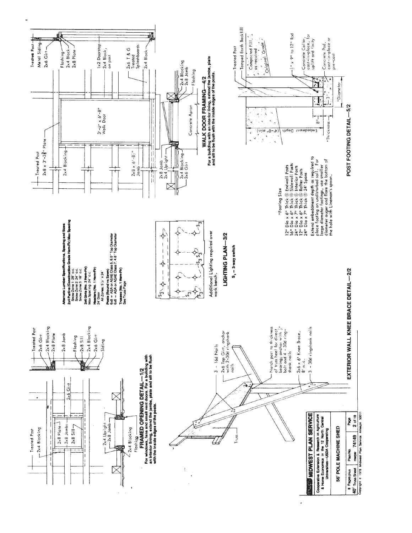

 $\overline{a}$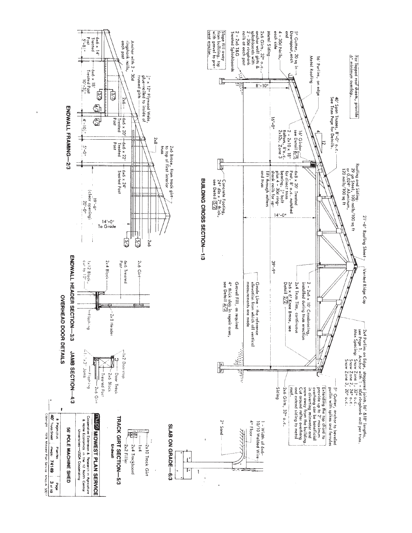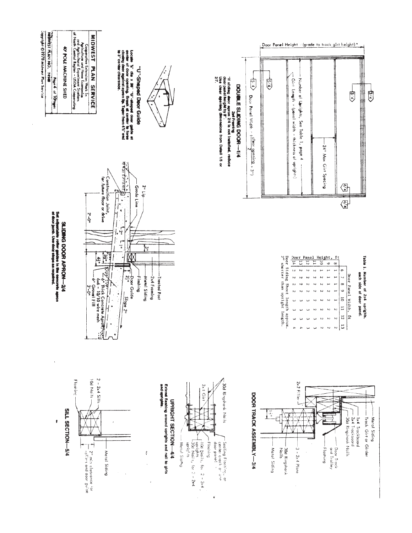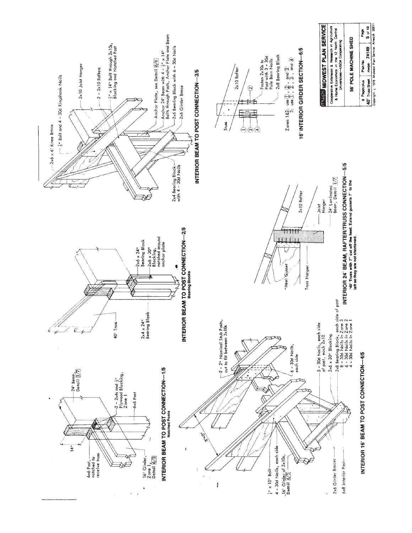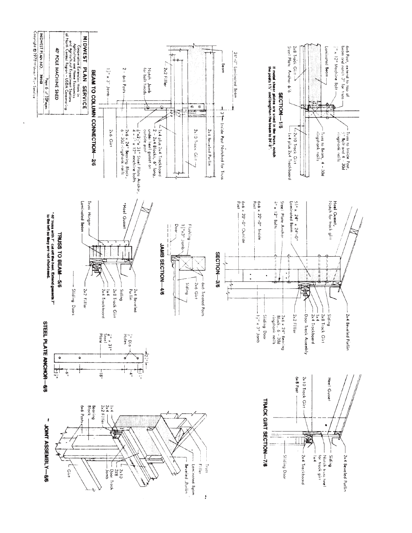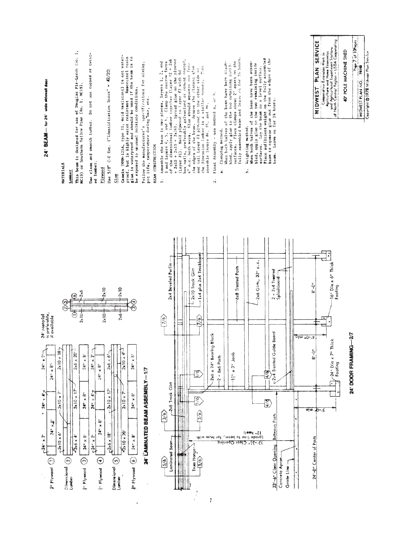| 24' BEAM - for 24' wide sidewall deor                                                                                                                                                                                     | MATERIALS                                                                                                         | This beam is designed for use of Douglas Fir-Larch (No. 1,<br>MC19) or Southern Yellow Pine (No. 1, MC19).<br>Lumber | twist-<br>Do not use cupped or<br>Use clean and smooth lumber.<br>ed lumber                                                                                                                                                                                     | C-C Ext. ("Identification Index" = $42/20$ )<br>Use 5/8"<br>plywood                                                                                                                                                 | Casein (MM+125A, type II, mold resistant) is not water-<br>Glue                                                                | proof, but is highly water resistant Resorcinol resin<br>glue is waterproof and should be used if the beam is to<br>be exposed to unusual moisture conditions. | Follow the manufacturer's specifications for mixing,<br>pot life, remperature during use, etc. | Assemble the beam in two pieces, layers 1, 2, and<br>3 and layers 4, 5, and 6. Clamp the narrow faces<br>BEAM CONSTRUCTION<br>$\ddot{ }$ | 3 and layers 4, 5, and 6. Clamp the race of the dimensional lumber together (Layer #2 = 2x6 + 2x10 + 2x26). Spread glue on the plywood | coated,<br>$\vec{c}$<br>box nails, preferably galvanized or cement<br>(Layer #1). Nail plywood to Tayer #2 with | 4" o.c. both ways. Glue should squeeze out from<br>Remove the clamps; glue<br>$\overline{\mathbb{m}}$ en<br>and nail Layer #3 plywood to the other side of<br>the dimension lumber in a similar manuer.<br>the edges of the beam. | Final Assembly - use method a, or h.<br>assemble layers #4, #5, and #6.<br>$\ddot{\sim}$ | When both halves of the beam have been assem-<br>Clamping method.<br>d | fully assembled beam and leave on for 24 hours.<br>bled, apply glue to the two remaining insiderant controller surfaces. Place clamps about 2' apart on the | When both halves of the beam have been assem-<br>bled, apply glue to the two remaining inside<br>Lay the beam on a level surface.<br>Weighting method.<br>surfaces.<br>ءُ | Place sufficient weight on the fully assembled | beam to squeeze glue out from the edges of the<br>beam. Leave on for 24 hours.                                                 |            | SERVICE<br>MIDWEST PLAN                                                              | Cooperative Extension Work in<br>and riculture and Home Economics<br>and Central Region – USDA Cooperating<br>of Nanh Central Region – USDA Cooperating | 40' POLE MACHINE SHED | Page 7 of 10Pages<br>MIDWEST PLAN NO. 74149 | Copyright @ 1978 Midwest Plan Service |
|---------------------------------------------------------------------------------------------------------------------------------------------------------------------------------------------------------------------------|-------------------------------------------------------------------------------------------------------------------|----------------------------------------------------------------------------------------------------------------------|-----------------------------------------------------------------------------------------------------------------------------------------------------------------------------------------------------------------------------------------------------------------|---------------------------------------------------------------------------------------------------------------------------------------------------------------------------------------------------------------------|--------------------------------------------------------------------------------------------------------------------------------|----------------------------------------------------------------------------------------------------------------------------------------------------------------|------------------------------------------------------------------------------------------------|------------------------------------------------------------------------------------------------------------------------------------------|----------------------------------------------------------------------------------------------------------------------------------------|-----------------------------------------------------------------------------------------------------------------|-----------------------------------------------------------------------------------------------------------------------------------------------------------------------------------------------------------------------------------|------------------------------------------------------------------------------------------|------------------------------------------------------------------------|-------------------------------------------------------------------------------------------------------------------------------------------------------------|---------------------------------------------------------------------------------------------------------------------------------------------------------------------------|------------------------------------------------|--------------------------------------------------------------------------------------------------------------------------------|------------|--------------------------------------------------------------------------------------|---------------------------------------------------------------------------------------------------------------------------------------------------------|-----------------------|---------------------------------------------|---------------------------------------|
| 24' Material<br>is preferable,<br>if available<br>$24"$ x 2<br>$24^{\circ} \times 8^{\circ}$<br>$24^{n} \times 4^{n}$<br>$\bullet$<br>$24^{\rm m} \times 3^{\rm s}$<br>$f^{24}$ × 2<br>$\mathfrak{f}^*$ Plywood $\bigcap$ | $2 \times 10 \times 18$<br>×<br>$2 \times 10$<br>$\frac{1}{x}$<br>2x10<br>$D$ imensional $\left( 2\right)$ Lumber | $2\times6$<br>(૭)<br>Ē<br>$2 \times 10$<br>Š<br>$\times$<br>$2\times 6$<br>Þ<br>×<br>2x10<br>$2x6 \times 4$          | ò<br>$\tilde{\phantom{a}}$<br>$\boldsymbol{\mathsf{x}}$<br>$\boldsymbol{\times}$<br>24 <sup>th</sup><br>24 <sup>14</sup><br>$\times 8"$<br>٠<br>$\boldsymbol{\times}$<br>24<br>$\lambda$<br>$24" \times 8'$<br>۶,<br>$\boldsymbol{\times}$<br>챃<br>an Plywood 3 | $-2\times 10$<br>$2 \times 10$<br>٠õ<br>$\boldsymbol{\times}$<br>2x6<br>$\ddot{\bm{8}}$<br>24"<br>Ě<br>$-2 \times 10 \times$<br>$\frac{5}{x}$<br>$24$ <sup>tv</sup><br>$F^{2\times 6 \times 18'}$<br>En blywood (4) | $-2\times 10$<br>2x6<br>$2 \times 10 \times 4^{1}$<br>$2 \times 10 \times 7$<br>2x 10 x 20<br>Dimensional <b>(3)</b><br>Lumber | $24" \times 8"$<br>$\frac{8}{x}$<br>24 <sup>n</sup><br>$24^{14} \times 8$<br>e" Plywood (6)                                                                    | $-17$<br>24" LAMNATED BEAM ASSEMBLY                                                            | $\sqrt{6}$<br>$\frac{1}{3/6}$<br>5/6                                                                                                     | 2x4 Beveled Purlin<br>2x8 Track Girt<br>Laminated Beam                                                                                 |                                                                                                                 | 1x4 plus 2x4 Trockboorg<br>2x10 Track Girt<br>$ \hat{\mathbf{e}} $<br>ि<br>Š<br>(3/6)<br>Truss Hanger<br>$-5/6$                                                                                                                   | -2x6 x 24" Bearing Block<br>ł                                                            | $-2 - 6x6$ Posts                                                       | 6x8 Treated Posts<br>$-1\frac{1}{2}$ " x 3" Jamb                                                                                                            | 2x6 Girts, 32" o.c.<br>21، 1994)<br>(grade line to beam, for truss with<br>13. -37. Clear Opening                                                                         | ৰ্ত্মি<br>ত্ত্ব                                | $2 - 2 \times 4$ Treated<br>Splashboard<br>-2x4 Treated Guide Board<br>Between Posts<br>23'-6" Clear Opening<br>Concrete Apron | Grade Line | $-5.8$<br>-0ء<br>$8 - 0$ <sup>-1</sup><br>$n/m$ $^{10-12}$<br>24'-0" Center of Posts | ł<br>16" Dia x 6" Thick<br>Footing<br>∾<br>-24" Dia x 7" Thick<br>Footing                                                                               |                       | 24' DOOR FRAMING-27                         |                                       |